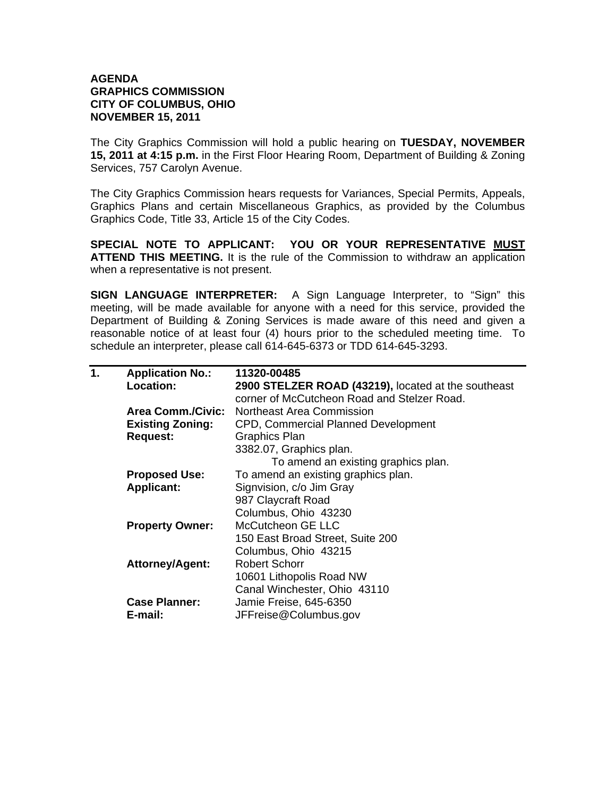## **AGENDA GRAPHICS COMMISSION CITY OF COLUMBUS, OHIO NOVEMBER 15, 2011**

The City Graphics Commission will hold a public hearing on **TUESDAY, NOVEMBER 15, 2011 at 4:15 p.m.** in the First Floor Hearing Room, Department of Building & Zoning Services, 757 Carolyn Avenue.

The City Graphics Commission hears requests for Variances, Special Permits, Appeals, Graphics Plans and certain Miscellaneous Graphics, as provided by the Columbus Graphics Code, Title 33, Article 15 of the City Codes.

**SPECIAL NOTE TO APPLICANT: YOU OR YOUR REPRESENTATIVE MUST ATTEND THIS MEETING.** It is the rule of the Commission to withdraw an application when a representative is not present.

**SIGN LANGUAGE INTERPRETER:** A Sign Language Interpreter, to "Sign" this meeting, will be made available for anyone with a need for this service, provided the Department of Building & Zoning Services is made aware of this need and given a reasonable notice of at least four (4) hours prior to the scheduled meeting time. To schedule an interpreter, please call 614-645-6373 or TDD 614-645-3293.

| 1. | <b>Application No.:</b> | 11320-00485                                         |
|----|-------------------------|-----------------------------------------------------|
|    | Location:               | 2900 STELZER ROAD (43219), located at the southeast |
|    |                         | corner of McCutcheon Road and Stelzer Road.         |
|    | Area Comm./Civic:       | <b>Northeast Area Commission</b>                    |
|    | <b>Existing Zoning:</b> | CPD, Commercial Planned Development                 |
|    | <b>Request:</b>         | <b>Graphics Plan</b>                                |
|    |                         | 3382.07, Graphics plan.                             |
|    |                         | To amend an existing graphics plan.                 |
|    | <b>Proposed Use:</b>    | To amend an existing graphics plan.                 |
|    | <b>Applicant:</b>       | Signvision, c/o Jim Gray                            |
|    |                         | 987 Claycraft Road                                  |
|    |                         | Columbus, Ohio 43230                                |
|    | <b>Property Owner:</b>  | McCutcheon GE LLC                                   |
|    |                         | 150 East Broad Street, Suite 200                    |
|    |                         | Columbus, Ohio 43215                                |
|    | <b>Attorney/Agent:</b>  | <b>Robert Schorr</b>                                |
|    |                         | 10601 Lithopolis Road NW                            |
|    |                         | Canal Winchester, Ohio 43110                        |
|    | <b>Case Planner:</b>    | Jamie Freise, 645-6350                              |
|    | E-mail:                 | JFFreise@Columbus.gov                               |
|    |                         |                                                     |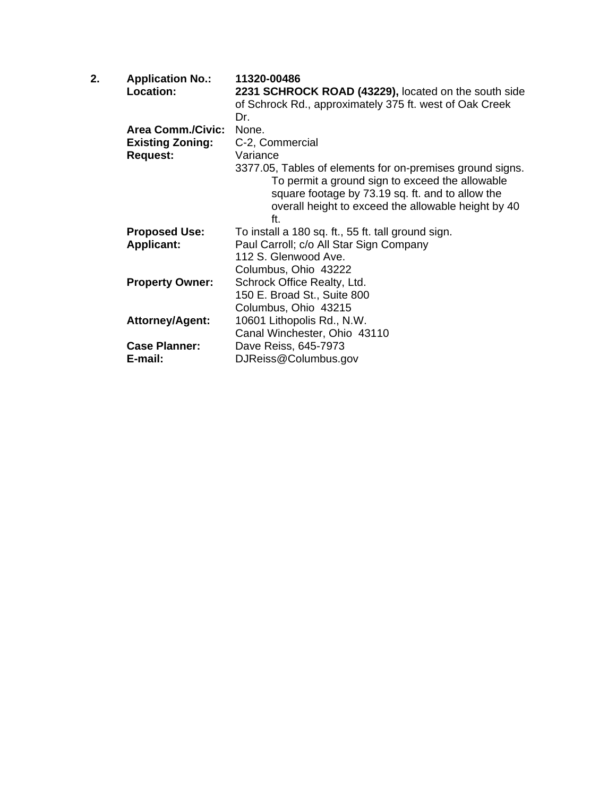| <b>Application No.:</b> | 11320-00486                                                                                                                                                                                                                    |
|-------------------------|--------------------------------------------------------------------------------------------------------------------------------------------------------------------------------------------------------------------------------|
| <b>Location:</b>        | 2231 SCHROCK ROAD (43229), located on the south side                                                                                                                                                                           |
|                         | of Schrock Rd., approximately 375 ft. west of Oak Creek                                                                                                                                                                        |
|                         | Dr.                                                                                                                                                                                                                            |
|                         | None.                                                                                                                                                                                                                          |
| <b>Existing Zoning:</b> | C-2, Commercial                                                                                                                                                                                                                |
| <b>Request:</b>         | Variance                                                                                                                                                                                                                       |
|                         | 3377.05, Tables of elements for on-premises ground signs.<br>To permit a ground sign to exceed the allowable<br>square footage by 73.19 sq. ft. and to allow the<br>overall height to exceed the allowable height by 40<br>ft. |
|                         | To install a 180 sq. ft., 55 ft. tall ground sign.                                                                                                                                                                             |
|                         | Paul Carroll; c/o All Star Sign Company                                                                                                                                                                                        |
|                         | 112 S. Glenwood Ave.                                                                                                                                                                                                           |
|                         | Columbus, Ohio 43222                                                                                                                                                                                                           |
| <b>Property Owner:</b>  | Schrock Office Realty, Ltd.                                                                                                                                                                                                    |
|                         | 150 E. Broad St., Suite 800                                                                                                                                                                                                    |
|                         | Columbus, Ohio 43215                                                                                                                                                                                                           |
| <b>Attorney/Agent:</b>  | 10601 Lithopolis Rd., N.W.                                                                                                                                                                                                     |
|                         | Canal Winchester, Ohio 43110                                                                                                                                                                                                   |
| <b>Case Planner:</b>    | Dave Reiss, 645-7973                                                                                                                                                                                                           |
| E-mail:                 | DJReiss@Columbus.gov                                                                                                                                                                                                           |
|                         | <b>Area Comm./Civic:</b><br><b>Proposed Use:</b><br><b>Applicant:</b>                                                                                                                                                          |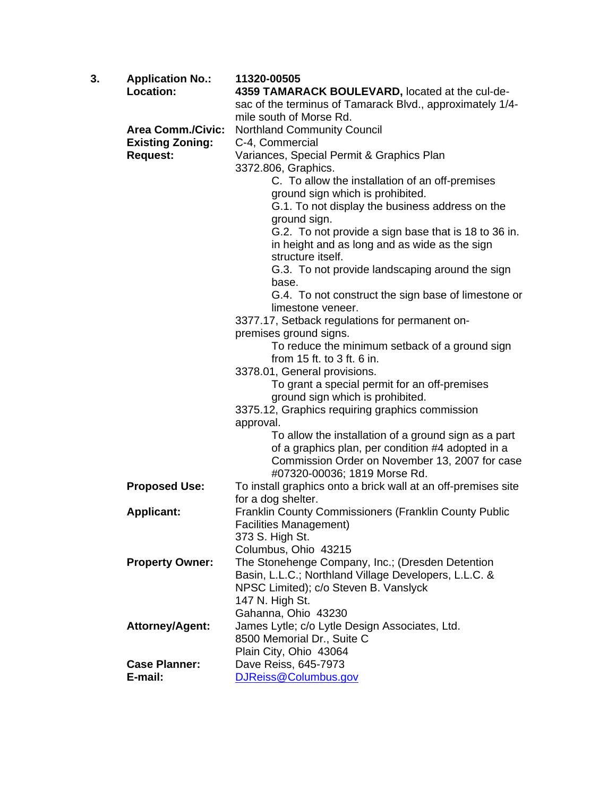| 3. | <b>Application No.:</b>  | 11320-00505                                                              |
|----|--------------------------|--------------------------------------------------------------------------|
|    | Location:                | 4359 TAMARACK BOULEVARD, located at the cul-de-                          |
|    |                          | sac of the terminus of Tamarack Blvd., approximately 1/4-                |
|    |                          | mile south of Morse Rd.                                                  |
|    | <b>Area Comm./Civic:</b> | <b>Northland Community Council</b>                                       |
|    | <b>Existing Zoning:</b>  | C-4, Commercial                                                          |
|    | <b>Request:</b>          | Variances, Special Permit & Graphics Plan                                |
|    |                          | 3372.806, Graphics.                                                      |
|    |                          | C. To allow the installation of an off-premises                          |
|    |                          | ground sign which is prohibited.                                         |
|    |                          | G.1. To not display the business address on the                          |
|    |                          | ground sign.                                                             |
|    |                          | G.2. To not provide a sign base that is 18 to 36 in.                     |
|    |                          | in height and as long and as wide as the sign                            |
|    |                          | structure itself.                                                        |
|    |                          | G.3. To not provide landscaping around the sign                          |
|    |                          | base.                                                                    |
|    |                          | G.4. To not construct the sign base of limestone or<br>limestone veneer. |
|    |                          |                                                                          |
|    |                          | 3377.17, Setback regulations for permanent on-<br>premises ground signs. |
|    |                          | To reduce the minimum setback of a ground sign                           |
|    |                          | from 15 ft. to 3 ft. 6 in.                                               |
|    |                          | 3378.01, General provisions.                                             |
|    |                          | To grant a special permit for an off-premises                            |
|    |                          | ground sign which is prohibited.                                         |
|    |                          | 3375.12, Graphics requiring graphics commission                          |
|    |                          | approval.                                                                |
|    |                          | To allow the installation of a ground sign as a part                     |
|    |                          | of a graphics plan, per condition #4 adopted in a                        |
|    |                          | Commission Order on November 13, 2007 for case                           |
|    |                          | #07320-00036; 1819 Morse Rd.                                             |
|    | <b>Proposed Use:</b>     | To install graphics onto a brick wall at an off-premises site            |
|    |                          | for a dog shelter.                                                       |
|    | <b>Applicant:</b>        | Franklin County Commissioners (Franklin County Public                    |
|    |                          | <b>Facilities Management)</b>                                            |
|    |                          | 373 S. High St.                                                          |
|    |                          | Columbus, Ohio 43215                                                     |
|    | <b>Property Owner:</b>   | The Stonehenge Company, Inc.; (Dresden Detention                         |
|    |                          | Basin, L.L.C.; Northland Village Developers, L.L.C. &                    |
|    |                          | NPSC Limited); c/o Steven B. Vanslyck                                    |
|    |                          | 147 N. High St.                                                          |
|    |                          | Gahanna, Ohio 43230                                                      |
|    | <b>Attorney/Agent:</b>   | James Lytle; c/o Lytle Design Associates, Ltd.                           |
|    |                          | 8500 Memorial Dr., Suite C                                               |
|    |                          | Plain City, Ohio 43064                                                   |
|    | <b>Case Planner:</b>     | Dave Reiss, 645-7973                                                     |
|    | E-mail:                  | DJReiss@Columbus.gov                                                     |